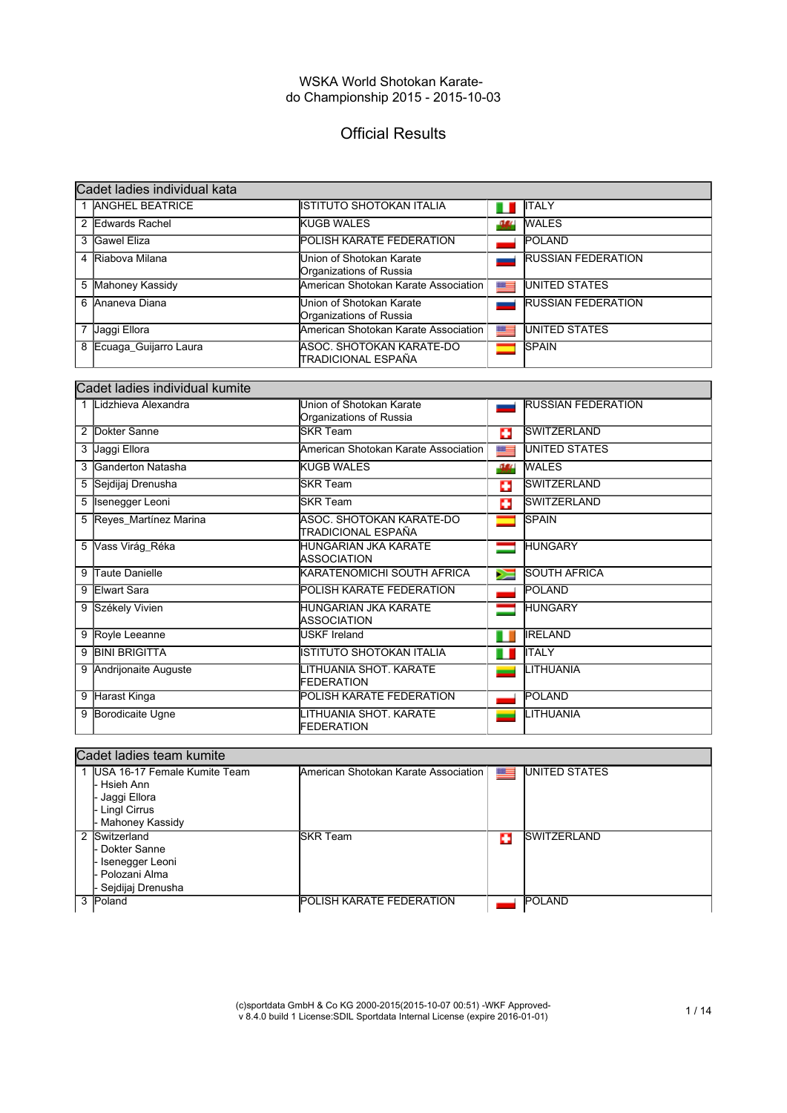# Official Results

| Cadet ladies individual kata |                                                     |      |                           |  |
|------------------------------|-----------------------------------------------------|------|---------------------------|--|
| <b>ANGHEL BEATRICE</b>       | IISTITUTO SHOTOKAN ITALIA                           | Ш    | <b>ITALY</b>              |  |
| 2 Edwards Rachel             | <b>KUGB WALES</b>                                   | -164 | <b>WALES</b>              |  |
| 3 Gawel Eliza                | <b>POLISH KARATE FEDERATION</b>                     |      | <b>POLAND</b>             |  |
| 4 Riabova Milana             | Union of Shotokan Karate<br>Organizations of Russia |      | <b>RUSSIAN FEDERATION</b> |  |
| 5 Mahoney Kassidy            | American Shotokan Karate Association I              | 翠三   | <b>UNITED STATES</b>      |  |
| 6 Ananeva Diana              | Union of Shotokan Karate<br>Organizations of Russia |      | <b>RUSSIAN FEDERATION</b> |  |
| Jaggi Ellora                 | American Shotokan Karate Association                | 뜨    | <b>UNITED STATES</b>      |  |
| 8 Ecuaga_Guijarro Laura      | IASOC. SHOTOKAN KARATE-DO<br>ITRADICIONAL ESPAÑA    |      | <b>SPAIN</b>              |  |

|   | Cadet ladies individual kumite |                                                     |    |                           |  |
|---|--------------------------------|-----------------------------------------------------|----|---------------------------|--|
|   | Lidzhieva Alexandra            | Union of Shotokan Karate<br>Organizations of Russia |    | <b>RUSSIAN FEDERATION</b> |  |
| 2 | Dokter Sanne                   | <b>SKR Team</b>                                     | п  | <b>SWITZERLAND</b>        |  |
| 3 | Jaggi Ellora                   | American Shotokan Karate Association                | ■≡ | <b>UNITED STATES</b>      |  |
|   | 3 Ganderton Natasha            | <b>KUGB WALES</b>                                   | 38 | <b>WALES</b>              |  |
|   | 5 Sejdijaj Drenusha            | <b>SKR Team</b>                                     | ÷  | <b>SWITZERLAND</b>        |  |
| 5 | Isenegger Leoni                | <b>SKR Team</b>                                     | Ф  | <b>SWITZERLAND</b>        |  |
|   | 5 Reyes_Martínez Marina        | ASOC. SHOTOKAN KARATE-DO<br>TRADICIONAL ESPAÑA      |    | <b>SPAIN</b>              |  |
| 5 | Vass Virág_Réka                | HUNGARIAN JKA KARATE<br><b>ASSOCIATION</b>          | ═  | <b>HUNGARY</b>            |  |
| 9 | Taute Danielle                 | KARATENOMICHI SOUTH AFRICA                          | ⋝≡ | <b>SOUTH AFRICA</b>       |  |
| 9 | Elwart Sara                    | POLISH KARATE FEDERATION                            |    | <b>POLAND</b>             |  |
|   | 9 Székely Vivien               | HUNGARIAN JKA KARATE<br><b>ASSOCIATION</b>          |    | <b>HUNGARY</b>            |  |
|   | 9 Royle Leeanne                | <b>USKF Ireland</b>                                 | ш  | <b>IRELAND</b>            |  |
| 9 | <b>BINI BRIGITTA</b>           | ISTITUTO SHOTOKAN ITALIA                            | ш  | <b>ITALY</b>              |  |
|   | Andrijonaite Auguste           | LITHUANIA SHOT. KARATE<br>FEDERATION                |    | LITHUANIA                 |  |
| 9 | Harast Kinga                   | POLISH KARATE FEDERATION                            |    | POLAND                    |  |
| 9 | Borodicaite Ugne               | LITHUANIA SHOT. KARATE<br>FEDERATION                |    | LITHUANIA                 |  |

|   | Cadet ladies team kumite        |                                      |   |                      |  |  |
|---|---------------------------------|--------------------------------------|---|----------------------|--|--|
|   | 1 IUSA 16-17 Female Kumite Team | American Shotokan Karate Association |   | <b>UNITED STATES</b> |  |  |
|   | - Hsieh Ann                     |                                      |   |                      |  |  |
|   | - Jaggi Ellora                  |                                      |   |                      |  |  |
|   | Lingl Cirrus                    |                                      |   |                      |  |  |
|   | - Mahoney Kassidy               |                                      |   |                      |  |  |
| 2 | Switzerland                     | <b>ISKR Team</b>                     | ÷ | <b>ISWITZERLAND</b>  |  |  |
|   | Dokter Sanne                    |                                      |   |                      |  |  |
|   | Isenegger Leoni                 |                                      |   |                      |  |  |
|   | ⊦ Polozani Alma                 |                                      |   |                      |  |  |
|   | · Sejdijaj Drenusha             |                                      |   |                      |  |  |
|   | <b>Poland</b>                   | <b>POLISH KARATE FEDERATION</b>      |   | <b>POLAND</b>        |  |  |
|   |                                 |                                      |   |                      |  |  |

(c)sportdata GmbH & Co KG 2000-2015(2015-10-07 00:51) -WKF Approved-v 8.4.0 build 1 License:SDIL Sportdata Internal License (expire 2016-01-01) 1 / 14

٦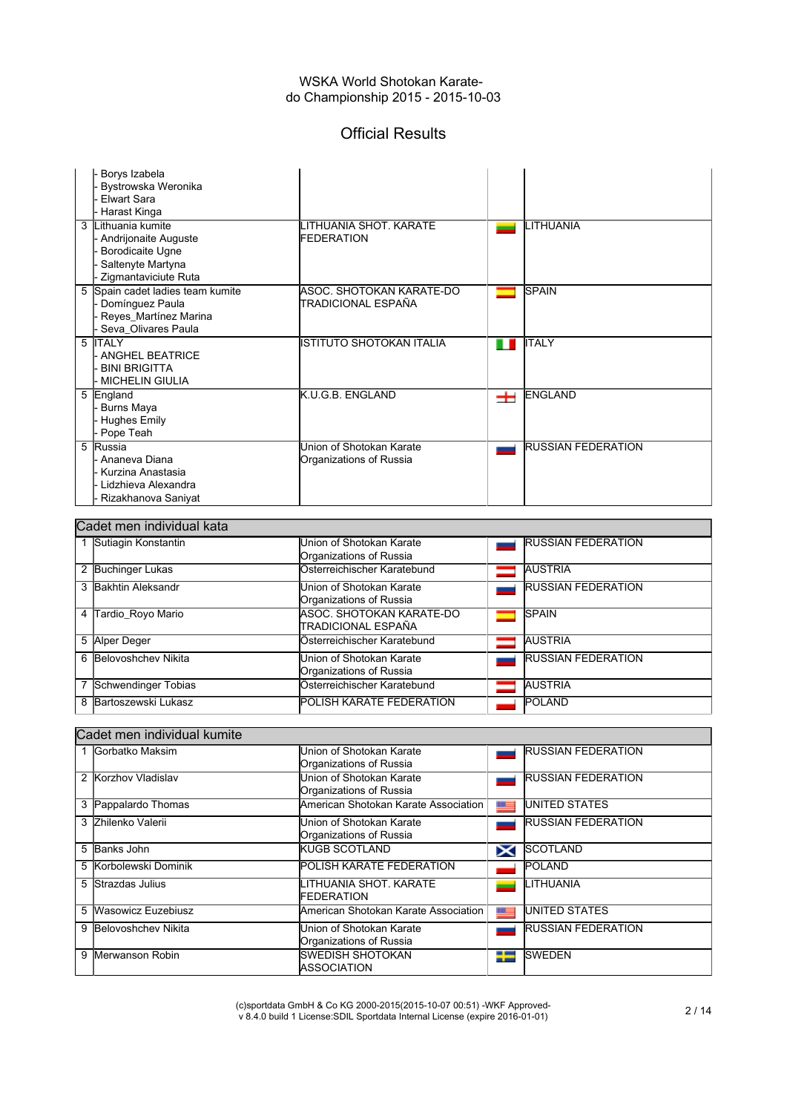## Official Results

| Borys Izabela<br>Bystrowska Weronika<br>Flwart Sara<br>Harast Kinga<br>3 Lithuania kumite<br>Andrijonaite Auguste<br>Borodicaite Ugne | LITHUANIA SHOT. KARATE<br><b>FEDERATION</b>         |   | LITHUANIA                 |
|---------------------------------------------------------------------------------------------------------------------------------------|-----------------------------------------------------|---|---------------------------|
| Saltenyte Martyna<br>Zigmantaviciute Ruta                                                                                             |                                                     |   |                           |
| 5 Spain cadet ladies team kumite<br>Domínguez Paula<br>Reyes_Martínez Marina<br>Seva_Olivares Paula                                   | ASOC. SHOTOKAN KARATE-DO<br>ITRADICIONAL ESPAÑA     |   | <b>SPAIN</b>              |
| 5 <b>ITALY</b><br>- ANGHEL BEATRICE<br><b>BINI BRIGITTA</b><br><b>MICHELIN GIULIA</b>                                                 | ISTITUTO SHOTOKAN ITALIA                            | ш | IITALY                    |
| 5 England<br><b>Burns Maya</b><br><b>Hughes Emily</b><br>Pope Teah                                                                    | <b>K.U.G.B. ENGLAND</b>                             | ᆂ | <b>ENGLAND</b>            |
| 5 Russia<br>- Ananeva Diana<br>Kurzina Anastasia<br>- Lidzhieva Alexandra<br>Rizakhanova Saniyat                                      | Union of Shotokan Karate<br>Organizations of Russia |   | <b>RUSSIAN FEDERATION</b> |

|   | Cadet men individual kata |                                 |  |                           |  |  |
|---|---------------------------|---------------------------------|--|---------------------------|--|--|
|   | 1 Sutiagin Konstantin     | Union of Shotokan Karate        |  | <b>RUSSIAN FEDERATION</b> |  |  |
|   |                           | Organizations of Russia         |  |                           |  |  |
| 2 | <b>Buchinger Lukas</b>    | Österreichischer Karatebund     |  | <b>AUSTRIA</b>            |  |  |
| 3 | <b>Bakhtin Aleksandr</b>  | Union of Shotokan Karate        |  | <b>RUSSIAN FEDERATION</b> |  |  |
|   |                           | Organizations of Russia         |  |                           |  |  |
| 4 | Tardio_Royo Mario         | ASOC. SHOTOKAN KARATE-DO        |  | <b>SPAIN</b>              |  |  |
|   |                           | ITRADICIONAL ESPAÑA             |  |                           |  |  |
| 5 | Alper Deger               | Österreichischer Karatebund     |  | <b>AUSTRIA</b>            |  |  |
| 6 | Belovoshchev Nikita       | Union of Shotokan Karate        |  | <b>RUSSIAN FEDERATION</b> |  |  |
|   |                           | Organizations of Russia         |  |                           |  |  |
| 7 | Schwendinger Tobias       | Österreichischer Karatebund     |  | <b>AUSTRIA</b>            |  |  |
| 8 | Bartoszewski Lukasz       | <b>POLISH KARATE FEDERATION</b> |  | <b>POLAND</b>             |  |  |

### Cadet men individual kumite

|   | Gorbatko Maksim        | Union of Shotokan Karate<br>Organizations of Russia |                | <b>RUSSIAN FEDERATION</b> |
|---|------------------------|-----------------------------------------------------|----------------|---------------------------|
| 2 | Korzhov Vladislav      | Union of Shotokan Karate<br>Organizations of Russia |                | <b>RUSSIAN FEDERATION</b> |
| 3 | Pappalardo Thomas      | American Shotokan Karate Association                | <u>startin</u> | <b>UNITED STATES</b>      |
| 3 | Zhilenko Valerii       | Union of Shotokan Karate<br>Organizations of Russia |                | <b>RUSSIAN FEDERATION</b> |
| 5 | Banks John             | <b>IKUGB SCOTLAND</b>                               | X              | <b>SCOTLAND</b>           |
| 5 | Korbolewski Dominik    | POLISH KARATE FEDERATION                            |                | <b>POLAND</b>             |
| 5 | <b>Strazdas Julius</b> | LITHUANIA SHOT. KARATE<br>FEDERATION                |                | LITHUANIA                 |
| 5 | Wasowicz Euzebiusz     | American Shotokan Karate Association                | $\frac{1}{2}$  | <b>UNITED STATES</b>      |
| 9 | Belovoshchev Nikita    | Union of Shotokan Karate<br>Organizations of Russia |                | <b>RUSSIAN FEDERATION</b> |
| 9 | Merwanson Robin        | ISWEDISH SHOTOKAN<br><b>IASSOCIATION</b>            | ≈              | <b>SWEDEN</b>             |

(c)sportdata GmbH & Co KG 2000-2015(2015-10-07 00:51) -WKF Approved-v 8.4.0 build 1 License:SDIL Sportdata Internal License (expire 2016-01-01) 2 / 14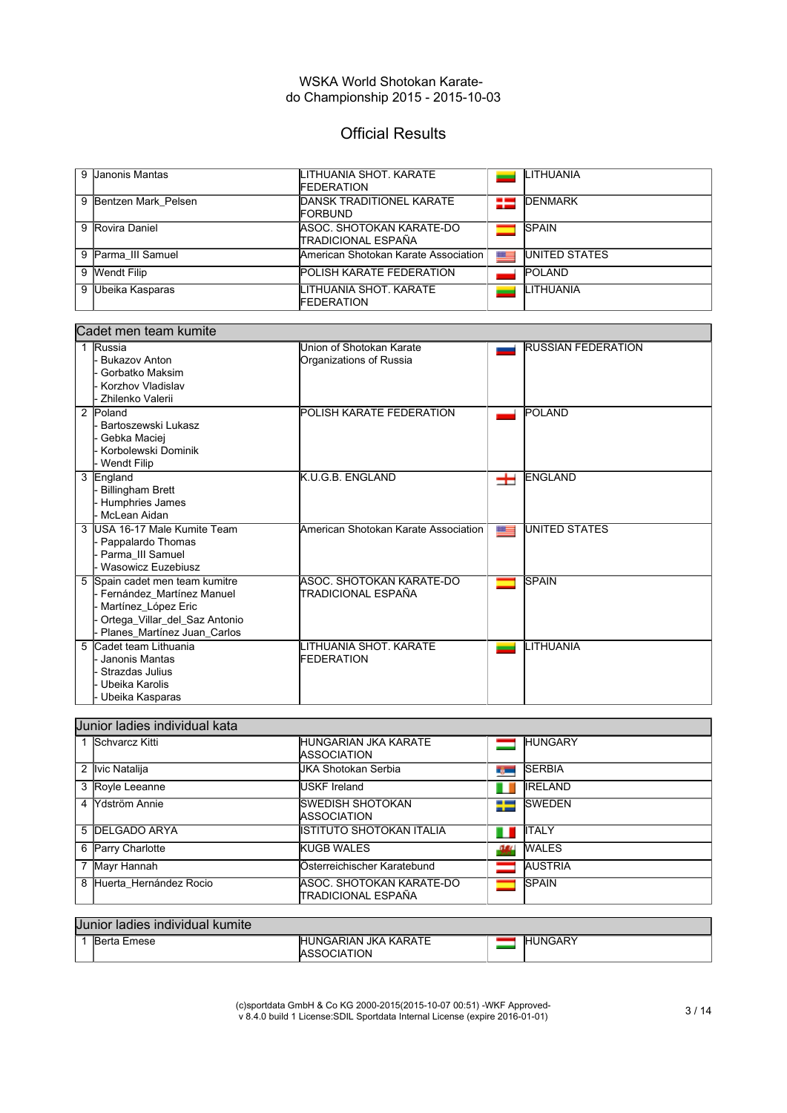## Official Results

| 9 Janonis Mantas      | <b>LITHUANIA SHOT. KARATE</b><br><b>FEDERATION</b> |      | LITHUANIA            |
|-----------------------|----------------------------------------------------|------|----------------------|
| 9 Bentzen Mark Pelsen | DANSK TRADITIONEL KARATE<br><b>FORBUND</b>         | ÷    | DENMARK              |
| 9 Rovira Daniel       | IASOC. SHOTOKAN KARATE-DO<br>ITRADICIONAL ESPAÑA   |      | <b>SPAIN</b>         |
| 9 Parma III Samuel    | American Shotokan Karate Association I             | $m=$ | <b>UNITED STATES</b> |
| 9 Wendt Filip         | <b>POLISH KARATE FEDERATION</b>                    |      | <b>POLAND</b>        |
| 9 Ubeika Kasparas     | LITHUANIA SHOT. KARATE<br><b>FEDERATION</b>        |      | LITHUANIA            |

| Cadet men team kumite                  |                                      |       |                           |  |
|----------------------------------------|--------------------------------------|-------|---------------------------|--|
| 1 Russia                               | Union of Shotokan Karate             |       | <b>RUSSIAN FEDERATION</b> |  |
| <b>Bukazov Anton</b>                   | Organizations of Russia              |       |                           |  |
| Gorbatko Maksim                        |                                      |       |                           |  |
| Korzhov Vladislav                      |                                      |       |                           |  |
| Zhilenko Valerii                       |                                      |       |                           |  |
| 2 Poland                               | <b>POLISH KARATE FEDERATION</b>      |       | <b>POLAND</b>             |  |
| Bartoszewski Lukasz                    |                                      |       |                           |  |
| Gebka Maciei                           |                                      |       |                           |  |
| Korbolewski Dominik                    |                                      |       |                           |  |
| <b>Wendt Filip</b>                     |                                      |       |                           |  |
| 3 England                              | K.U.G.B. ENGLAND                     | 士     | ENGLAND                   |  |
| <b>Billingham Brett</b>                |                                      |       |                           |  |
| <b>Humphries James</b><br>McLean Aidan |                                      |       |                           |  |
| USA 16-17 Male Kumite Team<br>3        | American Shotokan Karate Association | $x =$ | <b>UNITED STATES</b>      |  |
| Pappalardo Thomas                      |                                      |       |                           |  |
| Parma III Samuel                       |                                      |       |                           |  |
| Wasowicz Euzebiusz                     |                                      |       |                           |  |
| Spain cadet men team kumitre<br>5      | ASOC. SHOTOKAN KARATE-DO             |       | <b>SPAIN</b>              |  |
| - Fernández Martínez Manuel            | ITRADICIONAL ESPAÑA                  |       |                           |  |
| Martínez_López Eric                    |                                      |       |                           |  |
| Ortega_Villar_del_Saz Antonio          |                                      |       |                           |  |
| Planes_Martínez Juan_Carlos            |                                      |       |                           |  |
| Cadet team Lithuania<br>5              | LITHUANIA SHOT. KARATE               |       | LITHUANIA                 |  |
| Janonis Mantas                         | <b>FEDERATION</b>                    |       |                           |  |
| Strazdas Julius                        |                                      |       |                           |  |
| Ubeika Karolis                         |                                      |       |                           |  |
| Ubeika Kasparas                        |                                      |       |                           |  |

|   | Uunior ladies individual kata |                                                    |      |                |  |  |
|---|-------------------------------|----------------------------------------------------|------|----------------|--|--|
|   | 1 Schvarcz Kitti              | <b>HUNGARIAN JKA KARATE</b><br><b>IASSOCIATION</b> |      | <b>HUNGARY</b> |  |  |
|   | 2 Ivic Natalija               | UKA Shotokan Serbia                                | ty.  | <b>SERBIA</b>  |  |  |
|   | 3 Royle Leeanne               | USKF Ireland                                       | ш    | <b>IRELAND</b> |  |  |
|   | 4 Mdström Annie               | ISWEDISH SHOTOKAN<br><b>IASSOCIATION</b>           | ∓    | <b>SWEDEN</b>  |  |  |
|   | 5 DELGADO ARYA                | İISTITUTO SHOTOKAN ITALIA                          | ш    | <b>ITALY</b>   |  |  |
| 6 | <b>Parry Charlotte</b>        | <b>KUGB WALES</b>                                  | -141 | <b>WALES</b>   |  |  |
|   | Mayr Hannah                   | Österreichischer Karatebund                        |      | <b>AUSTRIA</b> |  |  |
|   | 8 Huerta Hernández Rocio      | IASOC. SHOTOKAN KARATE-DO<br>ITRADICIONAL ESPAÑA   |      | <b>SPAIN</b>   |  |  |

#### Junior ladies individual kumite HUNGARY1 Berta Emese HUNGARIAN JKA KARATE Í. ASSOCIATION

(c)sportdata GmbH & Co KG 2000-2015(2015-10-07 00:51) -WKF Approved-v 8.4.0 build 1 License:SDIL Sportdata Internal License (expire 2016-01-01) 3 / 14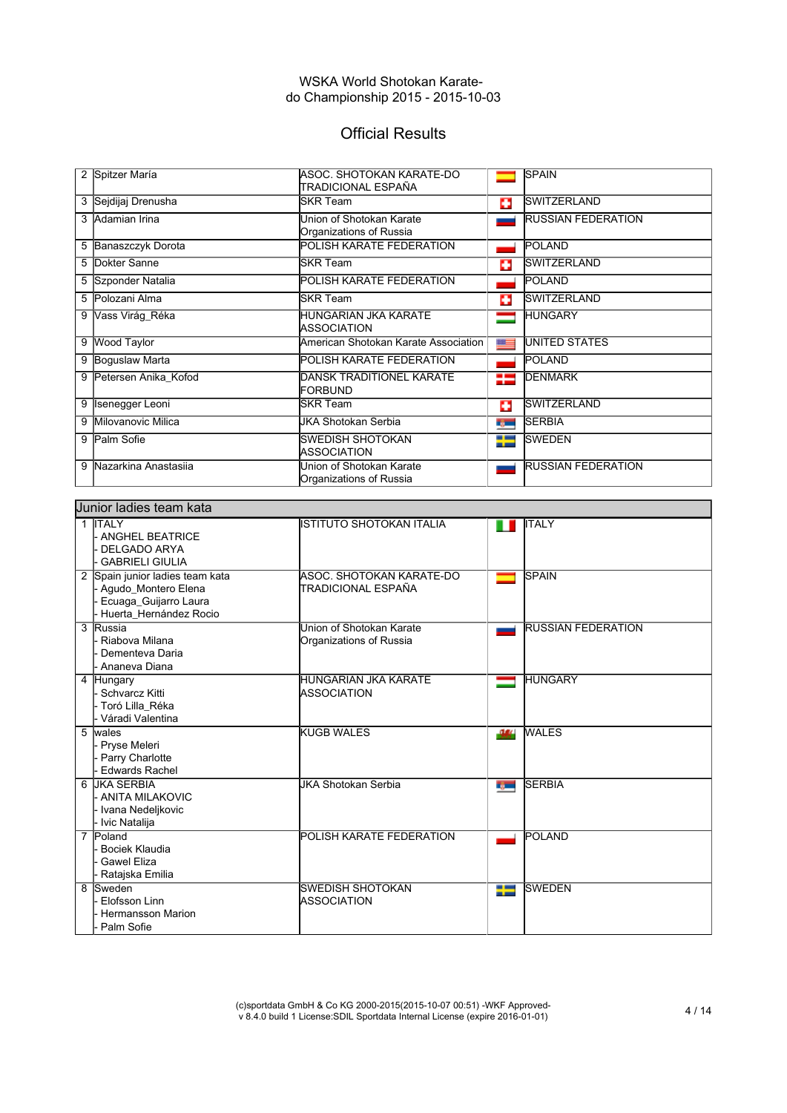# Official Results

| 2 | Spitzer María          | ASOC. SHOTOKAN KARATE-DO<br>TRADICIONAL ESPAÑA      |             | <b>SPAIN</b>              |
|---|------------------------|-----------------------------------------------------|-------------|---------------------------|
| 3 | Sejdijaj Drenusha      | <b>SKR Team</b>                                     | o           | <b>SWITZERLAND</b>        |
|   | 3 Adamian Irina        | Union of Shotokan Karate<br>Organizations of Russia |             | <b>RUSSIAN FEDERATION</b> |
| 5 | Banaszczyk Dorota      | <b>POLISH KARATE FEDERATION</b>                     |             | <b>POLAND</b>             |
|   | 5 Dokter Sanne         | <b>SKR Team</b>                                     | o           | <b>SWITZERLAND</b>        |
|   | 5 Szponder Natalia     | <b>POLISH KARATE FEDERATION</b>                     |             | POLAND                    |
| 5 | Polozani Alma          | <b>SKR Team</b>                                     | o           | <b>SWITZERLAND</b>        |
| 9 | Vass Virág_Réka        | <b>HUNGARIAN JKA KARATE</b><br><b>ASSOCIATION</b>   |             | <b>HUNGARY</b>            |
| 9 | Wood Taylor            | American Shotokan Karate Association                | $x =$       | <b>UNITED STATES</b>      |
| 9 | <b>Boguslaw Marta</b>  | <b>POLISH KARATE FEDERATION</b>                     |             | POLAND                    |
| 9 | Petersen Anika Kofod   | DANSK TRADITIONEL KARATE<br>IFORBUND                | 25          | <b>DENMARK</b>            |
| 9 | <b>Isenegger Leoni</b> | lSKR Team                                           | o           | <b>SWITZERLAND</b>        |
| 9 | Milovanovic Milica     | <b>JKA Shotokan Serbia</b>                          | <b>BACK</b> | <b>SERBIA</b>             |
| 9 | Palm Sofie             | <b>SWEDISH SHOTOKAN</b><br><b>ASSOCIATION</b>       | 25          | <b>SWEDEN</b>             |
| 9 | Nazarkina Anastasija   | Union of Shotokan Karate<br>Organizations of Russia |             | <b>RUSSIAN FEDERATION</b> |

| Uunior ladies team kata                                                                                   |                                                     |                           |  |  |  |  |
|-----------------------------------------------------------------------------------------------------------|-----------------------------------------------------|---------------------------|--|--|--|--|
| 1 <b>ITALY</b><br>- ANGHEL BEATRICE<br><b>DELGADO ARYA</b><br><b>GABRIELI GIULIA</b>                      | IISTITUTO SHOTOKAN ITALIA                           | <b>ITALY</b>              |  |  |  |  |
| 2 Spain junior ladies team kata<br>Agudo_Montero Elena<br>Ecuaga_Guijarro Laura<br>Huerta_Hernández Rocio | ASOC. SHOTOKAN KARATE-DO<br>TRADICIONAL ESPAÑA      | <b>SPAIN</b>              |  |  |  |  |
| 3 Russia<br>Riabova Milana<br>Dementeva Daria<br>Ananeva Diana                                            | Union of Shotokan Karate<br>Organizations of Russia | <b>RUSSIAN FEDERATION</b> |  |  |  |  |
| 4 Hungary<br><b>Schvarcz Kitti</b><br>- Toró Lilla Réka<br>Váradi Valentina                               | HUNGARIAN JKA KARATE<br>ASSOCIATION                 | <b>HUNGARY</b>            |  |  |  |  |
| 5<br>wales<br>- Pryse Meleri<br>Parry Charlotte<br><b>Edwards Rachel</b>                                  | <b>KUGB WALES</b>                                   | <b>WALES</b><br>-344      |  |  |  |  |
| 6 JKA SERBIA<br>- ANITA MILAKOVIC<br>- Ivana Nedeljkovic<br>- Ivic Natalija                               | <b>JKA Shotokan Serbia</b>                          | <b>SERBIA</b><br>r gwn    |  |  |  |  |
| $\overline{7}$<br>Poland<br>Bociek Klaudia<br><b>Gawel Eliza</b><br>Ratajska Emilia                       | POLISH KARATE FEDERATION                            | POLAND                    |  |  |  |  |
| Sweden<br>8<br>Elofsson Linn<br><b>Hermansson Marion</b><br>Palm Sofie                                    | <b>SWEDISH SHOTOKAN</b><br><b>ASSOCIATION</b>       | <b>SWEDEN</b><br>╄        |  |  |  |  |

(c)sportdata GmbH & Co KG 2000-2015(2015-10-07 00:51) -WKF Approved-v 8.4.0 build 1 License:SDIL Sportdata Internal License (expire 2016-01-01) 4 / 14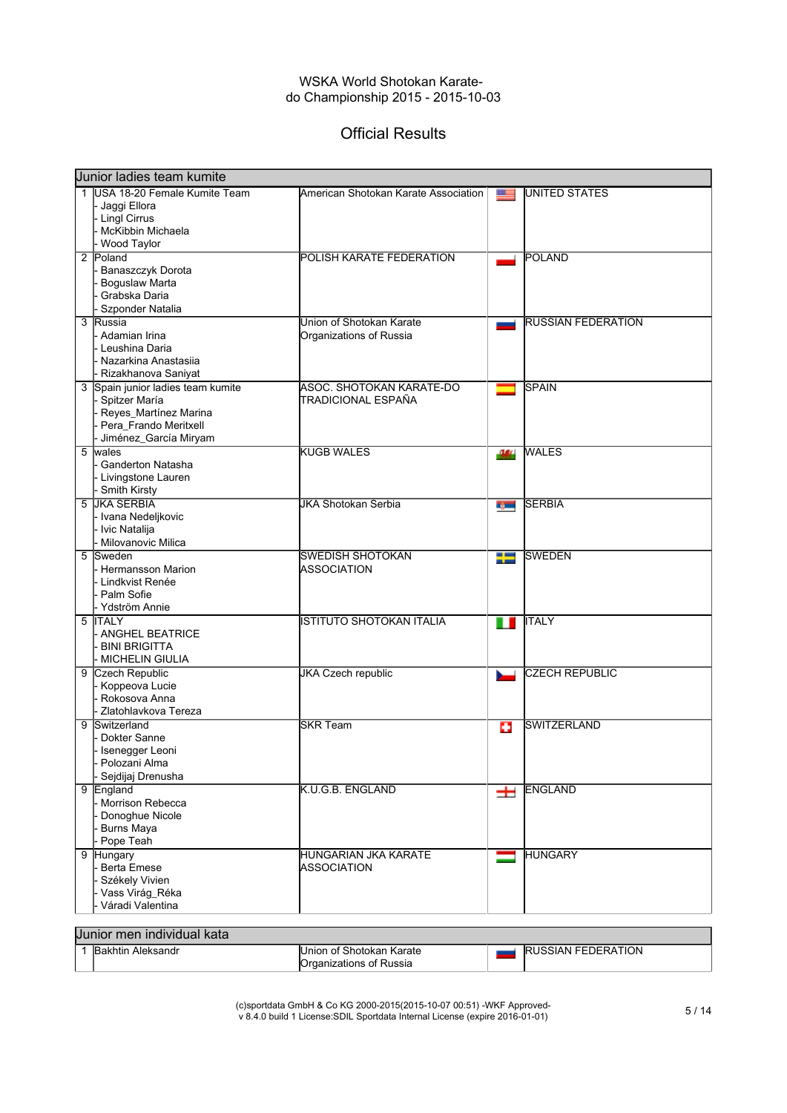# Official Results

|   | <b>Junior ladies team kumite</b>                                                                                              |                                                       |              |                           |  |
|---|-------------------------------------------------------------------------------------------------------------------------------|-------------------------------------------------------|--------------|---------------------------|--|
|   | 1 USA 18-20 Female Kumite Team<br>Jaggi Ellora<br>- Lingl Cirrus<br>McKibbin Michaela<br><b>Wood Taylor</b>                   | American Shotokan Karate Association                  | $x =$        | <b>UNITED STATES</b>      |  |
|   | 2 Poland<br>Banaszczyk Dorota<br><b>Boguslaw Marta</b><br>Grabska Daria<br>Szponder Natalia                                   | POLISH KARATE FEDERATION                              |              | <b>POLAND</b>             |  |
|   | 3 Russia<br>- Adamian Irina<br>Leushina Daria<br>Nazarkina Anastasiia<br>Rizakhanova Saniyat                                  | Union of Shotokan Karate<br>Organizations of Russia   |              | <b>RUSSIAN FEDERATION</b> |  |
|   | 3 Spain junior ladies team kumite<br>Spitzer María<br>Reyes_Martínez Marina<br>Pera_Frando Meritxell<br>Jiménez_García Miryam | <b>ASOC. SHOTOKAN KARATE-DO</b><br>TRADICIONAL ESPAÑA |              | <b>SPAIN</b>              |  |
| 5 | wales<br>Ganderton Natasha<br>- Livingstone Lauren<br><b>Smith Kirsty</b>                                                     | <b>KUGB WALES</b>                                     | $\mathbf{u}$ | <b>WALES</b>              |  |
|   | 5 JKA SERBIA<br>- Ivana Nedeljkovic<br>· Ivic Natalija<br>Milovanovic Milica                                                  | <b>JKA Shotokan Serbia</b>                            | r yw         | <b>SERBIA</b>             |  |
| 5 | Sweden<br>- Hermansson Marion<br>· Lindkvist Renée<br>Palm Sofie<br>- Ydström Annie                                           | <b>SWEDISH SHOTOKAN</b><br><b>ASSOCIATION</b>         | ₩            | <b>SWEDEN</b>             |  |
|   | 5 ITALY<br><b>ANGHEL BEATRICE</b><br><b>BINI BRIGITTA</b><br>MICHELIN GIULIA                                                  | <b>ISTITUTO SHOTOKAN ITALIA</b>                       | ш            | <b>ITALY</b>              |  |
|   | 9 Czech Republic<br>Koppeova Lucie<br>Rokosova Anna<br>Zlatohlavkova Tereza                                                   | <b>JKA Czech republic</b>                             |              | <b>CZECH REPUBLIC</b>     |  |
| 9 | Switzerland<br>Dokter Sanne<br>Isenegger Leoni<br>- Polozanı Alma<br>Sejdijaj Drenusha                                        | <b>SKR Team</b>                                       | o            | <b>SWITZERLAND</b>        |  |
|   | 9 England<br>- Morrison Rebecca<br>Donoghue Nicole<br><b>Burns Maya</b><br>Pope Teah                                          | K.U.G.B. ENGLAND                                      | 士            | <b>ENGLAND</b>            |  |
| 9 | Hungary<br>Berta Emese<br>Székely Vivien<br>Vass Virág_Réka<br>Váradi Valentina                                               | HUNGARIAN JKA KARATE<br>ASSOCIATION                   | $\equiv$     | <b>HUNGARY</b>            |  |

| Junior men individual kata |                                                             |                           |
|----------------------------|-------------------------------------------------------------|---------------------------|
| <b>Bakhtin Aleksandr</b>   | Union of Shotokan Karate<br><b>IOrganizations of Russia</b> | <b>RUSSIAN FEDERATION</b> |

(c)sportdata GmbH & Co KG 2000-2015(2015-10-07 00:51) -WKF Approved-v 8.4.0 build 1 License:SDIL Sportdata Internal License (expire 2016-01-01) 5 / 14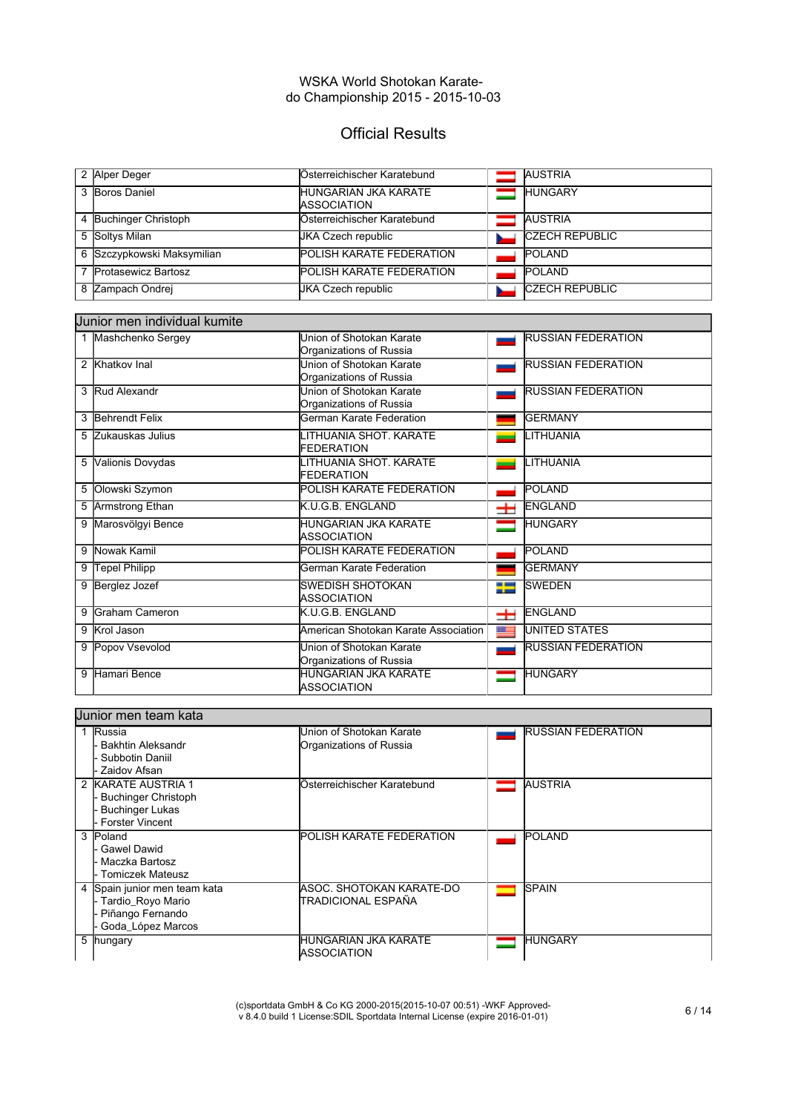# Official Results

| 2 Alper Deger              | Österreichischer Karatebund                       | <b>AUSTRIA</b>        |
|----------------------------|---------------------------------------------------|-----------------------|
| 3 Boros Daniel             | <b>HUNGARIAN JKA KARATE</b><br><b>ASSOCIATION</b> | <b>HUNGARY</b>        |
| 4 Buchinger Christoph      | Österreichischer Karatebund                       | <b>AUSTRIA</b>        |
| 5 Soltys Milan             | <b>JKA Czech republic</b>                         | <b>CZECH REPUBLIC</b> |
| 6 Szczypkowski Maksymilian | <b>POLISH KARATE FEDERATION</b>                   | <b>POLAND</b>         |
| 7 Protasewicz Bartosz      | <b>POLISH KARATE FEDERATION</b>                   | <b>POLAND</b>         |
| 8 Zampach Ondrej           | UKA Czech republic                                | <b>CZECH REPUBLIC</b> |

#### Junior men individual kumite

|   | 1 Mashchenko Sergey | Union of Shotokan Karate<br>Organizations of Russia |       | <b>RUSSIAN FEDERATION</b> |
|---|---------------------|-----------------------------------------------------|-------|---------------------------|
|   | 2 Khatkov Inal      | Union of Shotokan Karate<br>Organizations of Russia |       | <b>RUSSIAN FEDERATION</b> |
|   | 3 Rud Alexandr      | Union of Shotokan Karate<br>Organizations of Russia |       | <b>RUSSIAN FEDERATION</b> |
|   | 3 Behrendt Felix    | German Karate Federation                            |       | <b>GERMANY</b>            |
|   | 5 Zukauskas Julius  | LITHUANIA SHOT, KARATE<br><b>FEDERATION</b>         |       | LITHUANIA                 |
|   | 5 Valionis Dovydas  | LITHUANIA SHOT, KARATE<br>FEDERATION                |       | LITHUANIA                 |
|   | 5 Olowski Szymon    | <b>POLISH KARATE FEDERATION</b>                     |       | POLAND                    |
|   | 5 Armstrong Ethan   | K.U.G.B. ENGLAND                                    | ᆂ     | <b>ENGLAND</b>            |
|   | 9 Marosvölgyi Bence | <b>HUNGARIAN JKA KARATE</b><br><b>ASSOCIATION</b>   |       | <b>HUNGARY</b>            |
|   | 9 Nowak Kamil       | POLISH KARATE FEDERATION                            |       | <b>POLAND</b>             |
|   | 9 Tepel Philipp     | German Karate Federation                            |       | <b>GERMANY</b>            |
| 9 | Berglez Jozef       | <b>SWEDISH SHOTOKAN</b><br><b>ASSOCIATION</b>       | ₩     | <b>SWEDEN</b>             |
|   | 9 Graham Cameron    | K.U.G.B. ENGLAND                                    | 士     | <b>ENGLAND</b>            |
|   | 9 Krol Jason        | American Shotokan Karate Association                | $x =$ | <b>UNITED STATES</b>      |
|   | 9 Popov Vsevolod    | Union of Shotokan Karate<br>Organizations of Russia |       | <b>RUSSIAN FEDERATION</b> |
| 9 | Hamari Bence        | <b>HUNGARIAN JKA KARATE</b><br>ASSOCIATION          |       | <b>HUNGARY</b>            |

#### Junior men team kata 1 Russia Union of Shotokan Karate RUSSIAN FEDERATION **College** Bakhtin Aleksandr Organizations of Russia - Subbotin Daniil Zaidov Afsan 2 KARATE AUSTRIA 1 Österreichischer Karatebund **AUSTRIA** - Buchinger Christoph - Buchinger Lukas - Forster Vincent 3 Poland **POLISH KARATE FEDERATION POLAND** Gawel Dawid Maczka Bartosz Tomiczek Mateusz 4 Spain junior men team kata ASOC. SHOTOKAN KARATE-DO **SPAIN** Tardio\_Royo Mario TRADICIONAL ESPAÑA Piñango Fernando - Goda\_López Marcos<br>5 | hungary **HUNGARIAN JKA KARATE HUNGARY ASSOCIATION**

(c)sportdata GmbH & Co KG 2000-2015(2015-10-07 00:51) -WKF Approved-(c)sportdata GmbH & Co KG 2000-2015(2015-10-07 00:51) -WKF Approved-<br>v 8.4.0 build 1 License:SDIL Sportdata Internal License (expire 2016-01-01)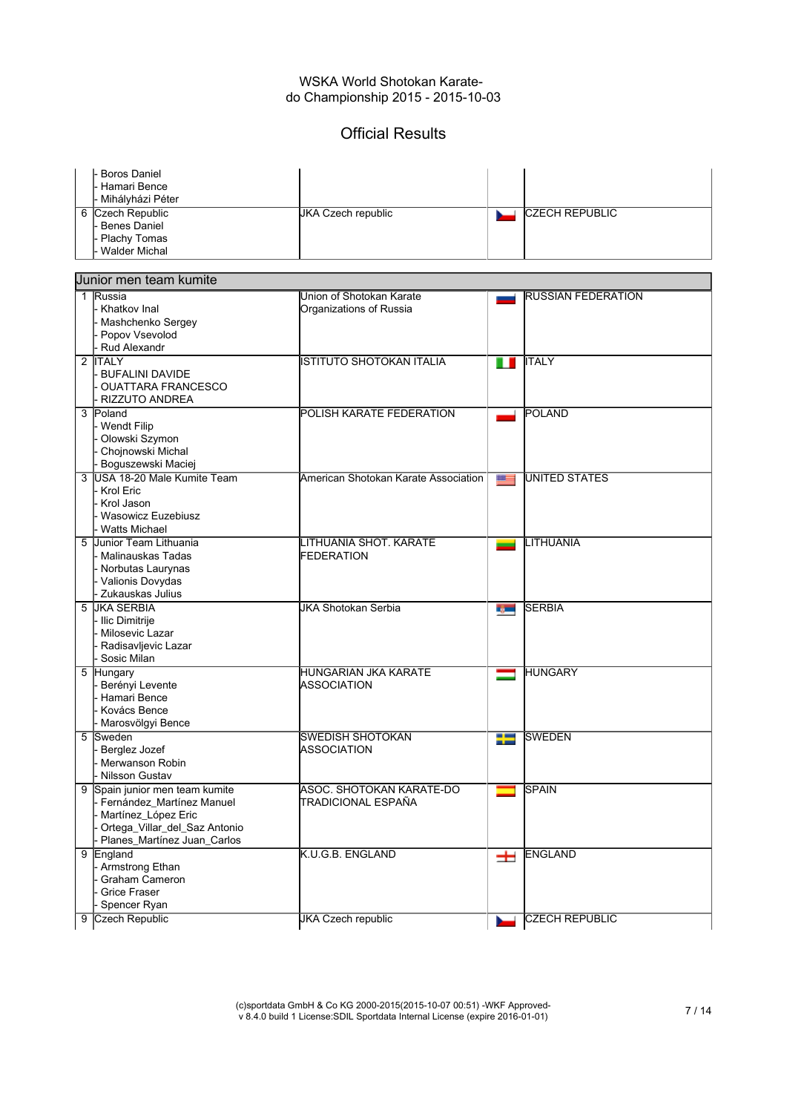## Official Results

| I- Boros Daniel<br>I- Hamari Bence<br>- Mihályházi Péter |                           |                       |
|----------------------------------------------------------|---------------------------|-----------------------|
| 6 Czech Republic                                         | <b>JKA Czech republic</b> | <b>CZECH REPUBLIC</b> |
| - Benes Daniel                                           |                           |                       |
| - Plachy Tomas                                           |                           |                       |
| - Walder Michal                                          |                           |                       |

|   | Uunior men team kumite                                                                                                                             |                                                     |       |                           |
|---|----------------------------------------------------------------------------------------------------------------------------------------------------|-----------------------------------------------------|-------|---------------------------|
|   | 1 Russia<br>Khatkov Inal<br>Mashchenko Sergey<br>Popov Vsevolod<br>Rud Alexandr                                                                    | Union of Shotokan Karate<br>Organizations of Russia |       | <b>RUSSIAN FEDERATION</b> |
|   | 2 ITALY<br><b>BUFALINI DAVIDE</b><br><b>OUATTARA FRANCESCO</b><br><b>RIZZUTO ANDREA</b>                                                            | <b>ISTITUTO SHOTOKAN ITALIA</b>                     |       | <b>ITALY</b>              |
|   | 3 Poland<br><b>Wendt Filip</b><br>Olowski Szymon<br>Chojnowski Michal<br>Boguszewski Maciej                                                        | POLISH KARATE FEDERATION                            |       | <b>POLAND</b>             |
| 3 | USA 18-20 Male Kumite Team<br>- Krol Eric<br>Krol Jason<br>Wasowicz Euzebiusz<br><b>Watts Michael</b>                                              | American Shotokan Karate Association                | $m =$ | <b>UNITED STATES</b>      |
|   | 5 Junior Team Lithuania<br><b>Malinauskas Tadas</b><br>- Norbutas Laurynas<br>Valionis Dovydas<br><b>Zukauskas Julius</b>                          | LITHUANIA SHOT. KARATE<br><b>FEDERATION</b>         |       | LITHUANIA                 |
| 5 | <b>JIKA SERBIA</b><br>- Ilic Dimitrije<br>Milosevic Lazar<br>Radisavljevic Lazar<br>Sosic Milan                                                    | JKA Shotokan Serbia                                 | r, m  | <b>SERBIA</b>             |
|   | 5 Hungary<br>Berényi Levente<br>Hamari Bence<br>Kovács Bence<br>Marosvölgyi Bence                                                                  | <b>HUNGARIAN JKA KARATE</b><br>ASSOCIATION          |       | <b>HUNGARY</b>            |
| 5 | Sweden<br>Berglez Jozef<br>Merwanson Robin<br>- Nilsson Gustav                                                                                     | <b>SWEDISH SHOTOKAN</b><br><b>ASSOCIATION</b>       | ╄     | <b>SWEDEN</b>             |
| 9 | Spain junior men team kumite<br>Fernández Martínez Manuel<br>Martínez_López Eric<br>Ortega_Villar_del_Saz Antonio<br>- Planes_Martínez Juan_Carlos | ASOC. SHOTOKAN KARATE-DO<br>TRADICIONAL ESPAÑA      |       | <b>SPAIN</b>              |
|   | 9 England<br>- Armstrong Ethan<br><b>Graham Cameron</b><br><b>Grice Fraser</b><br>Spencer Ryan                                                     | K.U.G.B. ENGLAND                                    | $\pm$ | <b>ENGLAND</b>            |
| 9 | Czech Republic                                                                                                                                     | <b>JKA Czech republic</b>                           |       | <b>CZECH REPUBLIC</b>     |

(c)sportdata GmbH & Co KG 2000-2015(2015-10-07 00:51) -WKF Approved-v 8.4.0 build 1 License:SDIL Sportdata Internal License (expire 2016-01-01) 7 / 14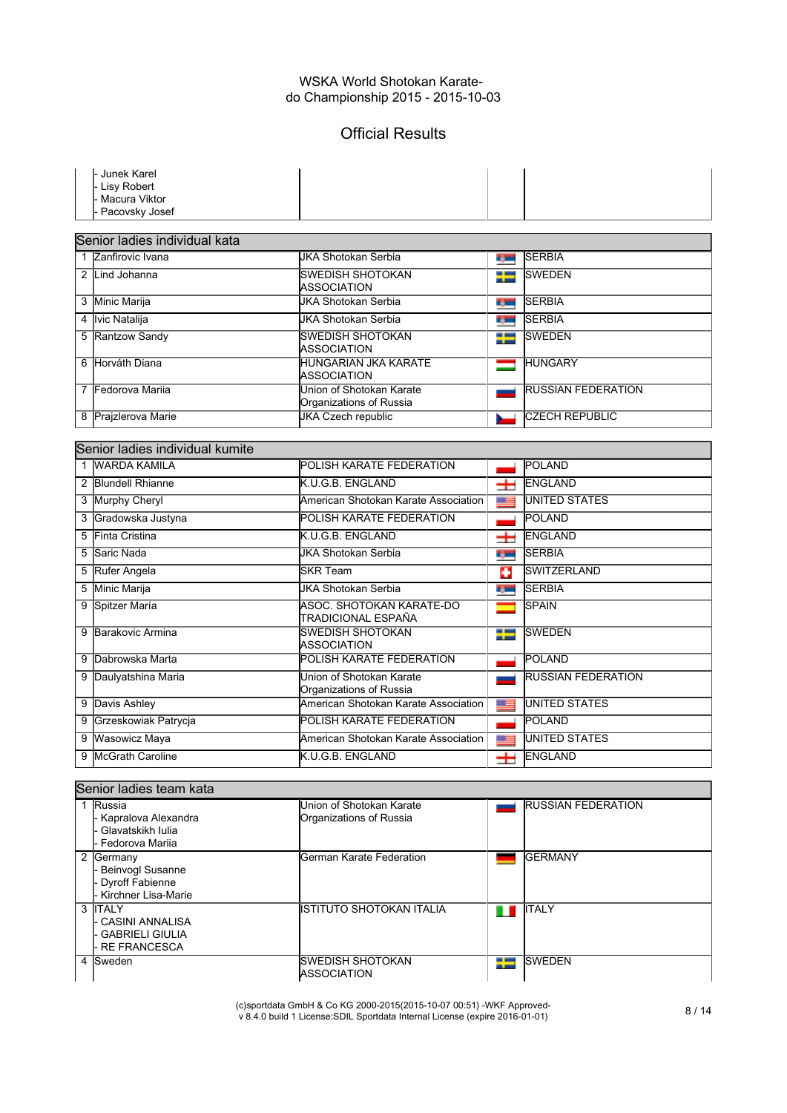# Official Results

|   | Junek Karel                         |                                                     |                 |                           |
|---|-------------------------------------|-----------------------------------------------------|-----------------|---------------------------|
|   | <b>Lisy Robert</b><br>Macura Viktor |                                                     |                 |                           |
|   | Pacovsky Josef                      |                                                     |                 |                           |
|   |                                     |                                                     |                 |                           |
|   | Senior ladies individual kata       |                                                     |                 |                           |
|   | 1 Zanfirovic Ivana                  | <b>JKA Shotokan Serbia</b>                          | <b>Separate</b> | <b>SERBIA</b>             |
|   | 2 Lind Johanna                      | <b>SWEDISH SHOTOKAN</b><br><b>ASSOCIATION</b>       | 92              | <b>SWEDEN</b>             |
|   | 3 Minic Marija                      | <b>JKA Shotokan Serbia</b>                          | <b>Barnet</b>   | <b>SERBIA</b>             |
| 4 | <b>Ivic Natalija</b>                | JKA Shotokan Serbia                                 | <b>Type:</b>    | <b>SERBIA</b>             |
|   | 5 Rantzow Sandy                     | <b>SWEDISH SHOTOKAN</b><br>ASSOCIATION              | ₩               | <b>SWEDEN</b>             |
|   | 6 Horváth Diana                     | HUNGARIAN JKA KARATE<br>ASSOCIATION                 | $\equiv$        | <b>HUNGARY</b>            |
|   | 7 Fedorova Marija                   | Union of Shotokan Karate<br>Organizations of Russia |                 | <b>RUSSIAN FEDERATION</b> |
|   | 8 Prajzlerova Marie                 | <b>JKA Czech republic</b>                           |                 | <b>CZECH REPUBLIC</b>     |
|   |                                     |                                                     |                 |                           |
|   | Senior ladies individual kumite     |                                                     |                 |                           |
|   | 1 WARDA KAMILA                      | POLISH KARATE FEDERATION                            |                 | POLAND                    |
|   | 2 Blundell Rhianne                  | K.U.G.B. ENGLAND                                    | Ŧ               | ENGLAND                   |
|   | 3 Murphy Cheryl                     | American Shotokan Karate Association                | $10-$           | <b>UNITED STATES</b>      |
|   | 3 Gradowska Justyna                 | POLISH KARATE FEDERATION                            |                 | <b>POLAND</b>             |
| 5 | Finta Cristina                      | K.U.G.B. ENGLAND                                    | $\pm$           | ENGLAND                   |
| 5 | Saric Nada                          | <b>JKA Shotokan Serbia</b>                          | r, m            | <b>SERBIA</b>             |
|   | 5 Rufer Angela                      | <b>SKR Team</b>                                     | o               | <b>SWITZERLAND</b>        |
|   | 5 Minic Marija                      | <b>JKA Shotokan Serbia</b>                          | <b>Barnet</b>   | <b>SERBIA</b>             |
|   | 9 Spitzer María                     | ASOC. SHOTOKAN KARATE-DO<br>TRADICIONAL ESPAÑA      |                 | <b>SPAIN</b>              |
|   | 9 Barakovic Armina                  | <b>SWEDISH SHOTOKAN</b><br><b>ASSOCIATION</b>       | ÷               | <b>SWEDEN</b>             |
|   | 9 Dabrowska Marta                   | POLISH KARATE FEDERATION                            |                 | <b>POLAND</b>             |
|   | 9 Daulyatshina Maria                | Union of Shotokan Karate<br>Organizations of Russia |                 | <b>RUSSIAN FEDERATION</b> |
|   | 9 Davis Ashley                      | American Shotokan Karate Association                | $x =$           | UNITED STATES             |
|   | 9 Grzeskowiak Patrycja              | POLISH KARATE FEDERATION                            |                 | POLAND                    |
|   | 9 Wasowicz Maya                     | American Shotokan Karate Association                | $m =$           | <b>UNITED STATES</b>      |
| 9 | <b>McGrath Caroline</b>             | K.U.G.B. ENGLAND                                    | $\pm$           | ENGLAND                   |
|   |                                     |                                                     |                 |                           |
|   | Senior ladies team kata             |                                                     |                 |                           |

| Russia<br>- Kapralova Alexandra<br>· Glavatskikh Iulia<br>- Fedorova Mariia    | Union of Shotokan Karate<br>Organizations of Russia |                                  | <b>RUSSIAN FEDERATION</b> |
|--------------------------------------------------------------------------------|-----------------------------------------------------|----------------------------------|---------------------------|
| 2 Germany<br><b>Beinvogl Susanne</b><br>Dyroff Fabienne<br>Kirchner Lisa-Marie |                                                     | <b>IGerman Karate Federation</b> | <b>IGERMANY</b>           |
| 3 <b>ITALY</b><br>- CASINI ANNALISA<br>GABRIELI GIULIA<br><b>RE FRANCESCA</b>  |                                                     | IISTITUTO SHOTOKAN ITALIA        | <b>ITALY</b>              |
| 4 Sweden                                                                       | ISWEDISH SHOTOKAN<br><b>ASSOCIATION</b>             | ≒                                | <b>ISWEDEN</b>            |

(c)sportdata GmbH & Co KG 2000-2015(2015-10-07 00:51) -WKF Approved-v 8.4.0 build 1 License:SDIL Sportdata Internal License (expire 2016-01-01) 8 / 14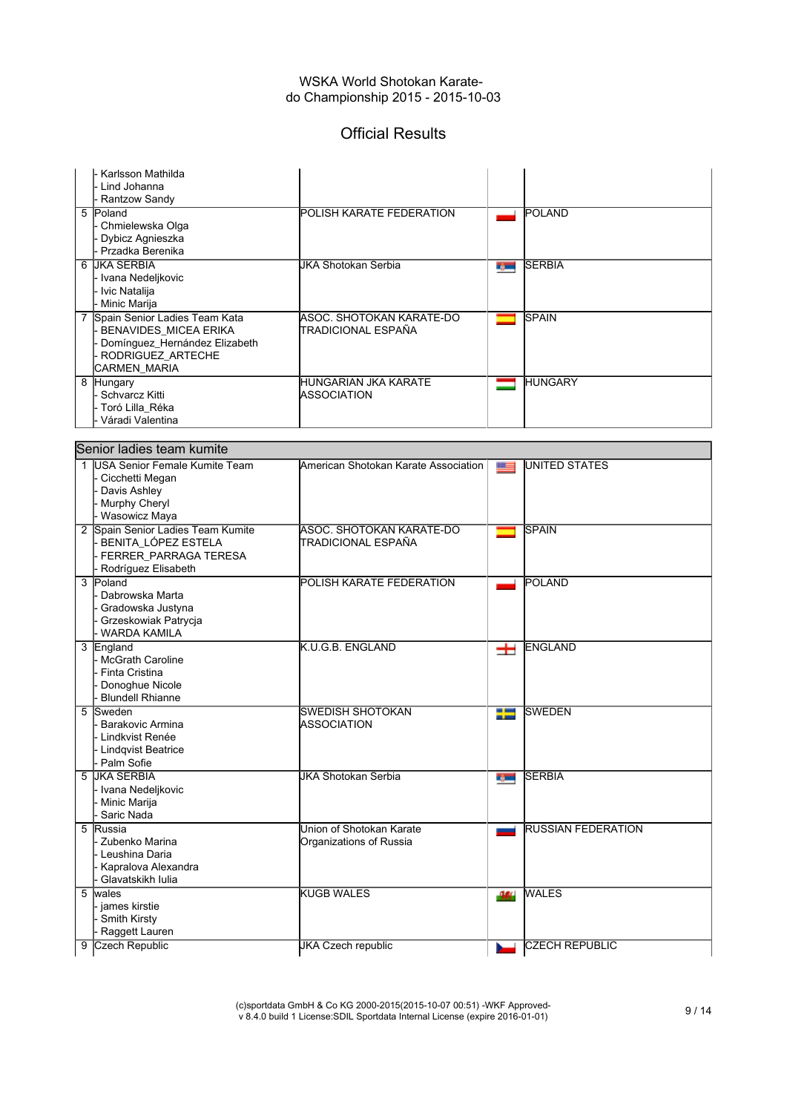# Official Results

| Karlsson Mathilda<br>Lind Johanna                                                                                                     |                                                       |              |                           |
|---------------------------------------------------------------------------------------------------------------------------------------|-------------------------------------------------------|--------------|---------------------------|
| Rantzow Sandy<br>5 Poland<br>Chmielewska Olga<br>Dybicz Agnieszka<br>Przadka Berenika                                                 | POLISH KARATE FEDERATION                              |              | <b>POLAND</b>             |
| 6 JKA SERBIA<br>- Ivana Nedeljkovic<br>- Ivic Natalija<br>- Minic Marija                                                              | <b>JKA Shotokan Serbia</b>                            | <b>Type:</b> | <b>SERBIA</b>             |
| 7 Spain Senior Ladies Team Kata<br><b>BENAVIDES MICEA ERIKA</b><br>Domínguez_Hernández Elizabeth<br>RODRIGUEZ ARTECHE<br>CARMEN_MARIA | ASOC. SHOTOKAN KARATE-DO<br>TRADICIONAL ESPAÑA        |              | <b>SPAIN</b>              |
| 8 Hungary<br>- Schvarcz Kitti<br>∙ Toró Lilla Réka<br>Váradi Valentina                                                                | HUNGARIAN JKA KARATE<br>ASSOCIATION                   |              | <b>HUNGARY</b>            |
| Senior ladies team kumite                                                                                                             |                                                       |              |                           |
| 1 IUSA Senior Female Kumite Team<br>Cicchetti Megan<br><b>Davis Ashley</b><br>- Murphy Cheryl<br>- Wasowicz Maya                      | American Shotokan Karate Association                  | $x =$        | UNITED STATES             |
| 2 Spain Senior Ladies Team Kumite<br>BENITA_LÓPEZ ESTELA<br>FERRER PARRAGA TERESA<br>Rodríguez Elisabeth                              | <b>ASOC. SHOTOKAN KARATE-DO</b><br>TRADICIONAL ESPAÑA |              | <b>SPAIN</b>              |
| 3 Poland<br>Dabrowska Marta<br>Gradowska Justyna<br>Grzeskowiak Patrycja<br>WARDA KAMILA                                              | POLISH KARATE FEDERATION                              |              | POLAND                    |
| 3 England<br>- McGrath Caroline<br>Finta Cristina<br>Donoghue Nicole<br><b>Blundell Rhianne</b>                                       | K.U.G.B. ENGLAND                                      | $\pm$        | ENGLAND                   |
| 5 Sweden<br>Barakovic Armina<br>· Lindkvist Renée<br>- Lindqvist Beatrice<br>- Palm Sofie                                             | <b>SWEDISH SHOTOKAN</b><br>ASSOCIATION                | ť            | <b>SWEDEN</b>             |
| 5 JKA SERBIA<br>- Ivana Nedeljkovic<br>- Minic Marija<br>Saric Nada                                                                   | JKA Shotokan Serbia                                   | r, m         | <b>SERBIA</b>             |
| 5 Russia<br>- Zubenko Marina<br>- Leushina Daria<br>Kapralova Alexandra<br>Glavatskikh lulia                                          | Union of Shotokan Karate<br>Organizations of Russia   |              | <b>RUSSIAN FEDERATION</b> |
| 5 wales<br>- james kirstie<br>- Smith Kirsty<br>Raggett Lauren                                                                        | <b>KUGB WALES</b>                                     | -364         | <b>WALES</b>              |
| 9 Czech Republic                                                                                                                      | <b>JKA Czech republic</b>                             |              | <b>CZECH REPUBLIC</b>     |

(c)sportdata GmbH & Co KG 2000-2015(2015-10-07 00:51) -WKF Approved-v 8.4.0 build 1 License:SDIL Sportdata Internal License (expire 2016-01-01) 9 / 14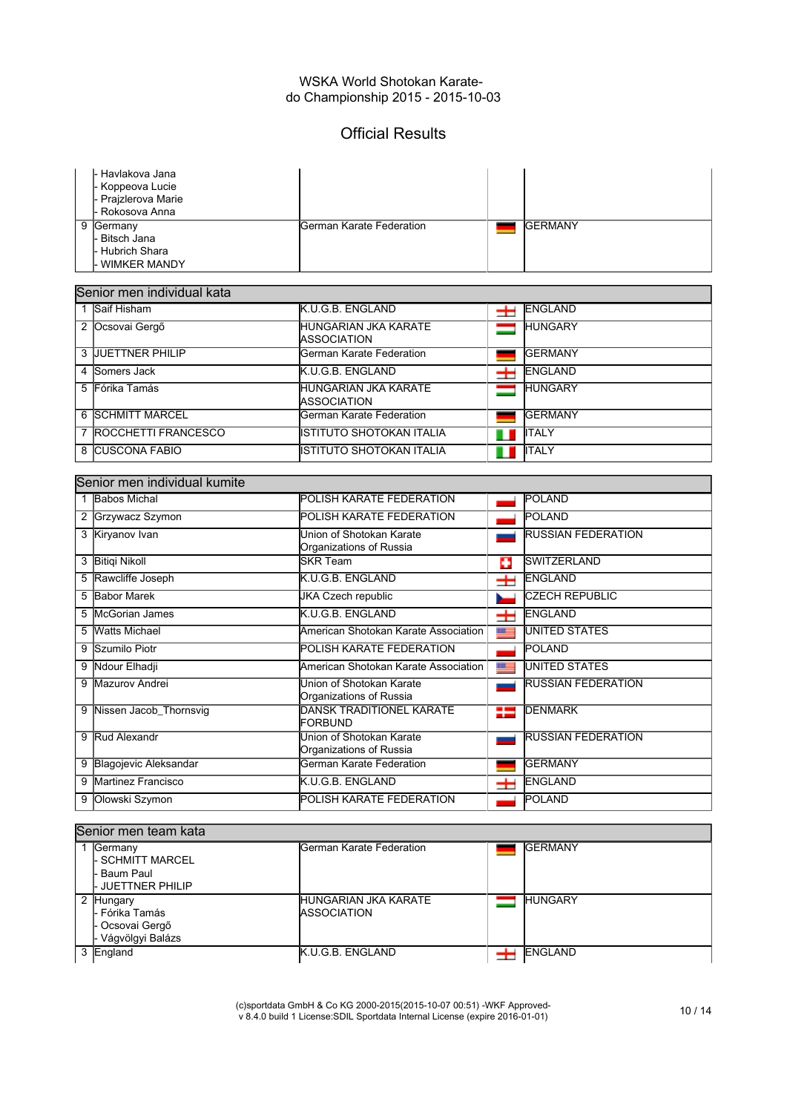## Official Results

|              | - Havlakova Jana<br>Koppeova Lucie<br>Prajzlerova Marie<br>Rokosova Anna |                                                     |       |                           |
|--------------|--------------------------------------------------------------------------|-----------------------------------------------------|-------|---------------------------|
| 9            | Germany<br>Bitsch Jana<br><b>Hubrich Shara</b><br><b>WIMKER MANDY</b>    | German Karate Federation                            |       | <b>GERMANY</b>            |
|              | Senior men individual kata                                               |                                                     |       |                           |
| $\mathbf{1}$ | Saif Hisham                                                              | K.U.G.B. ENGLAND                                    | $\pm$ | ENGLAND                   |
|              | 2 Ocsovai Gergő                                                          | <b>HUNGARIAN JKA KARATE</b><br><b>ASSOCIATION</b>   | ╼     | <b>HUNGARY</b>            |
| 3            | <b>JUETTNER PHILIP</b>                                                   | German Karate Federation                            |       | <b>GERMANY</b>            |
| 4            | Somers Jack                                                              | K.U.G.B. ENGLAND                                    | $\pm$ | <b>ENGLAND</b>            |
| 5            | Fórika Tamás                                                             | <b>HUNGARIAN JKA KARATE</b><br><b>ASSOCIATION</b>   | ═     | <b>HUNGARY</b>            |
|              | 6 SCHMITT MARCEL                                                         | German Karate Federation                            |       | <b>GERMANY</b>            |
|              | 7 ROCCHETTI FRANCESCO                                                    | <b>ISTITUTO SHOTOKAN ITALIA</b>                     | П     | <b>ITALY</b>              |
|              | 8 CUSCONA FABIO                                                          | <b>ISTITUTO SHOTOKAN ITALIA</b>                     | ш     | <b>ITALY</b>              |
|              |                                                                          |                                                     |       |                           |
|              | Senior men individual kumite                                             |                                                     |       |                           |
|              | 1 Babos Michal                                                           | POLISH KARATE FEDERATION                            |       | <b>POLAND</b>             |
| 2            | Grzywacz Szymon                                                          | POLISH KARATE FEDERATION                            |       | <b>POLAND</b>             |
|              | 3 Kiryanov Ivan                                                          | Union of Shotokan Karate<br>Organizations of Russia |       | <b>RUSSIAN FEDERATION</b> |
|              | 3 Bitiqi Nikoll                                                          | <b>SKR Team</b>                                     | o     | <b>SWITZERLAND</b>        |
|              | Rawcliffe Joseph                                                         | K.U.G.B. ENGLAND                                    | H     | <b>ENGLAND</b>            |
| 5            | <b>Babor Marek</b>                                                       | <b>JKA Czech republic</b>                           |       | CZECH REPUBLIC            |
| 5            | <b>McGorian James</b>                                                    | K.U.G.B. ENGLAND                                    | $\pm$ | <b>ENGLAND</b>            |
| 5            | <b>Watts Michael</b>                                                     | American Shotokan Karate Association                | N     | <b>UNITED STATES</b>      |
| 9            | Szumilo Piotr                                                            | POLISH KARATE FEDERATION                            |       | POLAND                    |
| 9            | Ndour Elhadji                                                            | American Shotokan Karate Association                | æ     | UNITED STATES             |
| 9            | Mazurov Andrei                                                           | Union of Shotokan Karate<br>Organizations of Russia |       | <b>RUSSIAN FEDERATION</b> |
| 9            | Nissen Jacob_Thornsvig                                                   | <b>DANSK TRADITIONEL KARATE</b><br><b>FORBUND</b>   | 92    | <b>DENMARK</b>            |
| 9            | Rud Alexandr                                                             | Union of Shotokan Karate<br>Organizations of Russia |       | <b>RUSSIAN FEDERATION</b> |
| 9            | Blagojevic Aleksandar                                                    | German Karate Federation                            |       | <b>GERMANY</b>            |
| 9            | Martinez Francisco                                                       | K.U.G.B. ENGLAND                                    | $\pm$ | ENGLAND                   |
| 9            | Olowski Szymon                                                           | POLISH KARATE FEDERATION                            |       | <b>POLAND</b>             |

#### Senior men team kata

| Germany<br>I- SCHMITT MARCEL<br>- Baum Paul<br>I- JUETTNER PHILIP   | lGerman Karate Federation                           | <b>GERMANY</b> |
|---------------------------------------------------------------------|-----------------------------------------------------|----------------|
| 2 Hungary<br>I- Fórika Tamás<br>- Ocsovai Gergő<br>Vágvölgyi Balázs | <b>IHUNGARIAN JKA KARATE</b><br><b>IASSOCIATION</b> | <b>HUNGARY</b> |
| 3 England                                                           | <b>K.U.G.B. ENGLAND</b>                             | <b>ENGLAND</b> |

(c)sportdata GmbH & Co KG 2000-2015(2015-10-07 00:51) -WKF Approved-v 8.4.0 build 1 License:SDIL Sportdata Internal License (expire 2016-01-01) 10 / 14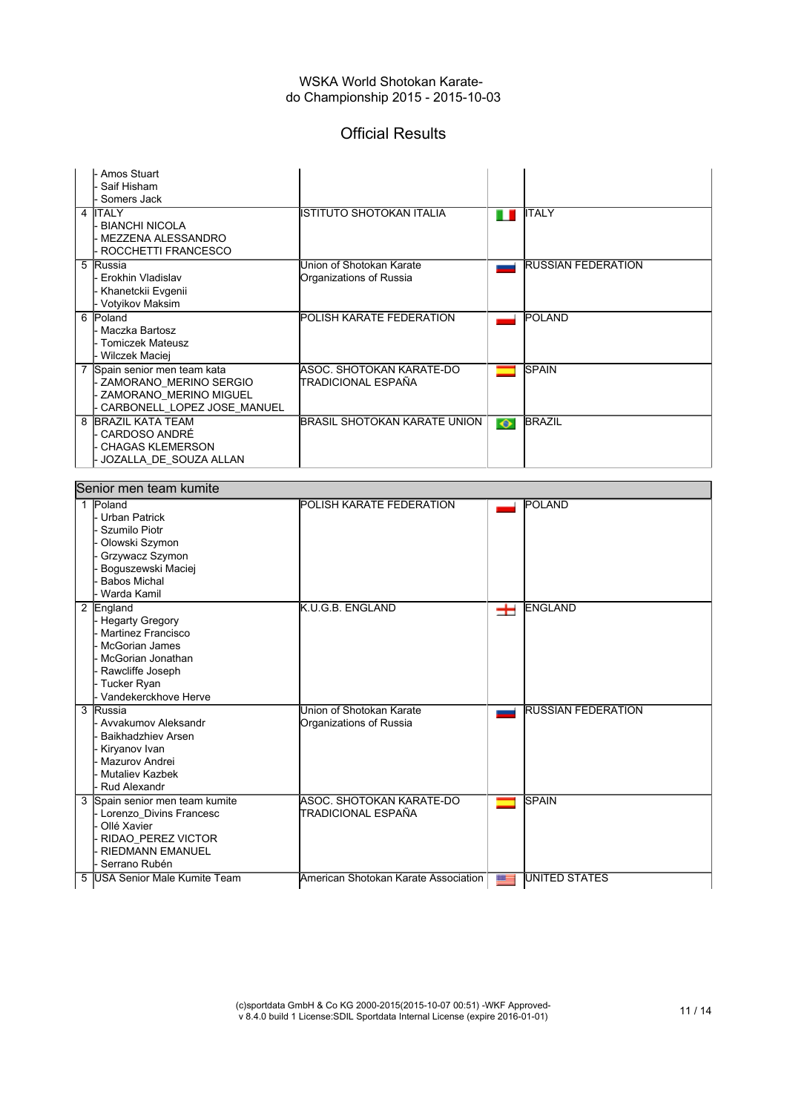## Official Results

|   | Amos Stuart<br>Saif Hisham<br>Somers Jack                                                                                                                                 |                                                     |           |                           |
|---|---------------------------------------------------------------------------------------------------------------------------------------------------------------------------|-----------------------------------------------------|-----------|---------------------------|
|   | 4 ITALY<br><b>BIANCHI NICOLA</b><br>MEZZENA ALESSANDRO<br>ROCCHETTI FRANCESCO                                                                                             | ISTITUTO SHOTOKAN ITALIA                            | ш         | IITALY                    |
| 5 | Russia<br>Erokhin Vladislav<br>Khanetckii Evgenii<br>· Votyikov Maksim                                                                                                    | Union of Shotokan Karate<br>Organizations of Russia |           | <b>RUSSIAN FEDERATION</b> |
|   | 6 Poland<br><b>Maczka Bartosz</b><br><b>Tomiczek Mateusz</b><br>Wilczek Maciej                                                                                            | POLISH KARATE FEDERATION                            |           | POLAND                    |
|   | 7 Spain senior men team kata<br>ZAMORANO_MERINO SERGIO<br>ZAMORANO_MERINO MIGUEL<br>CARBONELL_LOPEZ JOSE_MANUEL                                                           | ASOC, SHOTOKAN KARATE-DO<br>TRADICIONAL ESPAÑA      |           | <b>SPAIN</b>              |
|   | 8 BRAZIL KATA TEAM<br>CARDOSO ANDRÉ<br><b>CHAGAS KLEMERSON</b><br>JOZALLA_DE_SOUZA ALLAN                                                                                  | <b>BRASIL SHOTOKAN KARATE UNION</b>                 | $\bullet$ | <b>BRAZIL</b>             |
|   | Senior men team kumite                                                                                                                                                    |                                                     |           |                           |
|   | 1 Poland<br><b>Urban Patrick</b>                                                                                                                                          | POLISH KARATE FEDERATION                            |           | POLAND                    |
|   | Szumilo Piotr<br>Olowski Szymon<br>Grzywacz Szymon<br>Boguszewski Maciej<br><b>Babos Michal</b><br>Warda Kamil                                                            |                                                     |           |                           |
|   | 2 England<br><b>Hegarty Gregory</b><br><b>Martinez Francisco</b><br><b>McGorian James</b><br>McGorian Jonathan<br>Rawcliffe Joseph<br>Tucker Ryan<br>Vandekerckhove Herve | K.U.G.B. ENGLAND                                    | 士         | ENGLAND                   |
|   | 3 Russia<br>Avvakumov Aleksandr<br>Baikhadzhiev Arsen<br>Kiryanov Ivan<br>Mazurov Andrei<br>Mutaliev Kazbek<br>Rud Alexandr                                               | Union of Shotokan Karate<br>Organizations of Russia |           | <b>RUSSIAN FEDERATION</b> |
|   | 3 Spain senior men team kumite<br>Lorenzo Divins Francesc<br>Ollé Xavier<br>RIDAO_PEREZ VICTOR<br><b>RIEDMANN EMANUEL</b><br>Serrano Rubén                                | ASOC. SHOTOKAN KARATE-DO<br>TRADICIONAL ESPAÑA      |           | <b>SPAIN</b>              |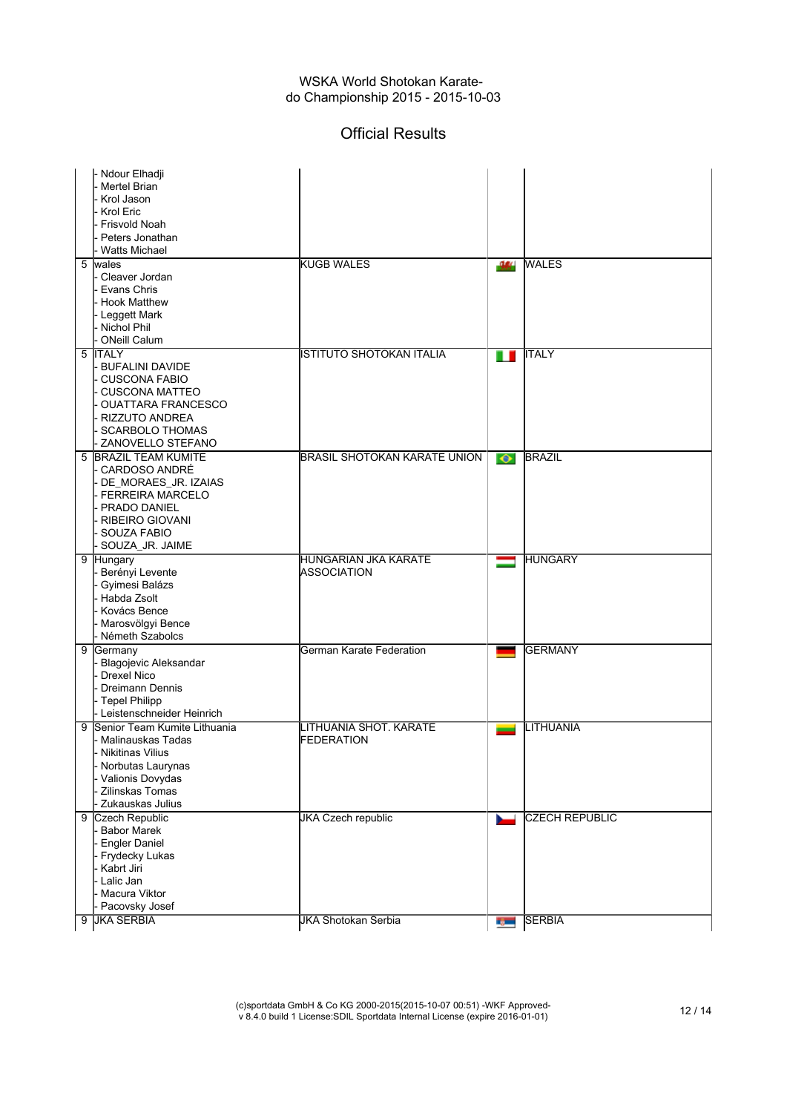# Official Results

|   | - Ndour Elhadji                     |                                     |           |                       |
|---|-------------------------------------|-------------------------------------|-----------|-----------------------|
|   | Mertel Brian                        |                                     |           |                       |
|   | Krol Jason                          |                                     |           |                       |
|   | Krol Eric                           |                                     |           |                       |
|   | <b>Frisvold Noah</b>                |                                     |           |                       |
|   | Peters Jonathan                     |                                     |           |                       |
|   | <b>Watts Michael</b>                |                                     |           |                       |
|   | 5 wales                             | <b>KUGB WALES</b>                   | -94       | <b>WALES</b>          |
|   | Cleaver Jordan                      |                                     |           |                       |
|   | Evans Chris                         |                                     |           |                       |
|   | <b>Hook Matthew</b>                 |                                     |           |                       |
|   | Leggett Mark                        |                                     |           |                       |
|   | <b>Nichol Phil</b>                  |                                     |           |                       |
|   | <b>ONeill Calum</b>                 |                                     |           |                       |
|   | 5 ITALY                             | ISTITUTO SHOTOKAN ITALIA            | ш         | <b>ITALY</b>          |
|   | <b>BUFALINI DAVIDE</b>              |                                     |           |                       |
|   | <b>CUSCONA FABIO</b>                |                                     |           |                       |
|   | <b>CUSCONA MATTEO</b>               |                                     |           |                       |
|   | <b>OUATTARA FRANCESCO</b>           |                                     |           |                       |
|   | <b>RIZZUTO ANDREA</b>               |                                     |           |                       |
|   | <b>SCARBOLO THOMAS</b>              |                                     |           |                       |
|   | ZANOVELLO STEFANO                   |                                     |           |                       |
|   | 5 BRAZIL TEAM KUMITE                | <b>BRASIL SHOTOKAN KARATE UNION</b> | $\bullet$ | <b>BRAZIL</b>         |
|   | CARDOSO ANDRÉ                       |                                     |           |                       |
|   | DE MORAES JR. IZAIAS                |                                     |           |                       |
|   | <b>FERREIRA MARCELO</b>             |                                     |           |                       |
|   | PRADO DANIEL                        |                                     |           |                       |
|   | <b>RIBEIRO GIOVANI</b>              |                                     |           |                       |
|   | SOUZA FABIO                         |                                     |           |                       |
|   | SOUZA_JR. JAIME                     |                                     |           |                       |
|   | 9 Hungary                           | HUNGARIAN JKA KARATE                | ═         | <b>HUNGARY</b>        |
|   | Berényi Levente                     | ASSOCIATION                         |           |                       |
|   |                                     |                                     |           |                       |
|   | Gyimesi Balázs                      |                                     |           |                       |
|   | Habda Zsolt                         |                                     |           |                       |
|   | Kovács Bence                        |                                     |           |                       |
|   | Marosvölgyi Bence                   |                                     |           |                       |
|   | Németh Szabolcs                     |                                     |           |                       |
|   | 9 Germany                           | German Karate Federation            | -         | GERMANY               |
|   | <b>Blagojevic Aleksandar</b>        |                                     |           |                       |
|   | <b>Drexel Nico</b>                  |                                     |           |                       |
|   | <b>Dreimann Dennis</b>              |                                     |           |                       |
|   | Tepel Philipp                       |                                     |           |                       |
|   | - Leistenschneider Heinrich         |                                     |           |                       |
|   | 9 Senior Team Kumite Lithuania      | LITHUANIA SHOT. KARATE              |           | LITHUANIA             |
|   | Malinauskas Tadas                   | <b>FEDERATION</b>                   |           |                       |
|   | Nikitinas Vilius                    |                                     |           |                       |
|   | Norbutas Laurynas                   |                                     |           |                       |
|   | Valionis Dovydas                    |                                     |           |                       |
|   | Zilinskas Tomas                     |                                     |           |                       |
|   | Zukauskas Julius                    |                                     |           |                       |
| 9 | Czech Republic                      | <b>JKA Czech republic</b>           |           | <b>CZECH REPUBLIC</b> |
|   | <b>Babor Marek</b>                  |                                     |           |                       |
|   | <b>Engler Daniel</b>                |                                     |           |                       |
|   | Frydecky Lukas                      |                                     |           |                       |
|   | Kabrt Jiri                          |                                     |           |                       |
|   | Lalic Jan                           |                                     |           |                       |
|   | Macura Viktor                       |                                     |           |                       |
|   | Pacovsky Josef<br><b>JKA SERBIA</b> | <b>JKA Shotokan Serbia</b>          |           | <b>SERBIA</b>         |

(c)sportdata GmbH & Co KG 2000-2015(2015-10-07 00:51) -WKF Approved-v 8.4.0 build 1 License:SDIL Sportdata Internal License (expire 2016-01-01) 12 / 14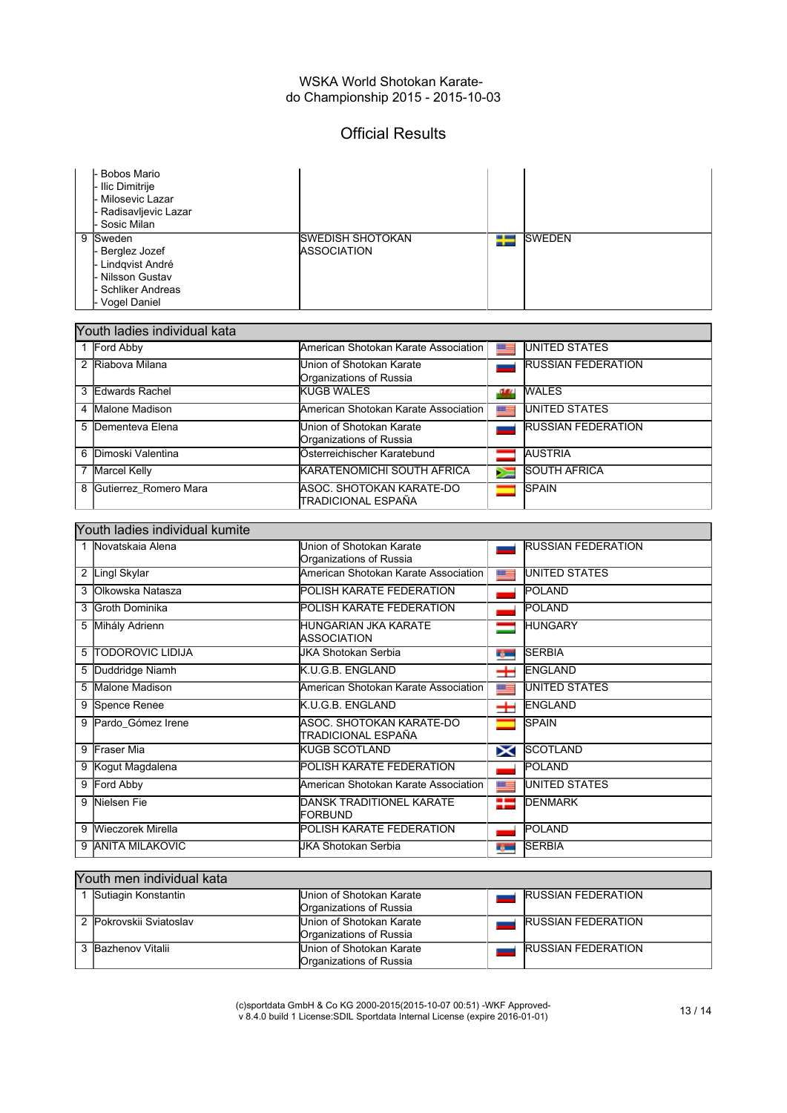## Official Results

| <b>Bobos Mario</b><br>l- Ilic Dimitrije<br>- Milosevic Lazar<br>- Radisavljevic Lazar<br>- Sosic Milan        |                                                |   |                |
|---------------------------------------------------------------------------------------------------------------|------------------------------------------------|---|----------------|
| 9<br>Sweden<br>- Berglez Jozef<br>- Lindqvist André<br>- Nilsson Gustav<br>- Schliker Andreas<br>Vogel Daniel | <b>ISWEDISH SHOTOKAN</b><br><b>ASSOCIATION</b> | ₩ | <b>ISWEDEN</b> |

| Youth ladies individual kata |                       |                                                     |        |                           |  |
|------------------------------|-----------------------|-----------------------------------------------------|--------|---------------------------|--|
|                              | 1 Ford Abby           | American Shotokan Karate Association                | $z =$  | <b>UNITED STATES</b>      |  |
| $\mathcal{P}$                | Riabova Milana        | Union of Shotokan Karate<br>Organizations of Russia |        | <b>RUSSIAN FEDERATION</b> |  |
| 3                            | Edwards Rachel        | <b>KUGB WALES</b>                                   | -34    | <b>WALES</b>              |  |
| 4                            | Malone Madison        | American Shotokan Karate Association                | 트      | <b>UNITED STATES</b>      |  |
| 5                            | Dementeva Elena       | Union of Shotokan Karate<br>Organizations of Russia |        | <b>RUSSIAN FEDERATION</b> |  |
| 6                            | Dimoski Valentina     | Österreichischer Karatebund                         |        | <b>AUSTRIA</b>            |  |
|                              | <b>Marcel Kelly</b>   | <b>KARATENOMICHI SOUTH AFRICA</b>                   | $\geq$ | <b>SOUTH AFRICA</b>       |  |
| 8                            | Gutierrez Romero Mara | IASOC. SHOTOKAN KARATE-DO<br>ITRADICIONAL ESPAÑA    |        | <b>SPAIN</b>              |  |

| Youth ladies individual kumite |                         |                                                     |               |                           |  |
|--------------------------------|-------------------------|-----------------------------------------------------|---------------|---------------------------|--|
|                                | 1 Novatskaja Alena      | Union of Shotokan Karate<br>Organizations of Russia |               | <b>RUSSIAN FEDERATION</b> |  |
| 2                              | Lingl Skylar            | lAmerican Shotokan Karate Association               | 뜨             | UNITED STATES             |  |
|                                | lOlkowska Natasza       | POLISH KARATE FEDERATION                            |               | POLAND                    |  |
|                                | Groth Dominika          | POLISH KARATE FEDERATION                            |               | POLAND                    |  |
| 5                              | Mihály Adrienn          | HUNGARIAN JKA KARATE<br>ASSOCIATION                 |               | <b>HUNGARY</b>            |  |
| 5                              | <b>TODOROVIC LIDIJA</b> | JKA Shotokan Serbia                                 | ng m          | <b>SERBIA</b>             |  |
| 5                              | Duddridge Niamh         | K.U.G.B. ENGLAND                                    | 士             | <b>ENGLAND</b>            |  |
| 5                              | Malone Madison          | American Shotokan Karate Association                | 뜨             | UNITED STATES             |  |
| 9                              | Spence Renee            | K.U.G.B. ENGLAND                                    | 士             | ENGLAND                   |  |
| 9                              | Pardo Gómez Irene       | ASOC. SHOTOKAN KARATE-DO<br>TRADICIONAL ESPAÑA      |               | <b>SPAIN</b>              |  |
| 9                              | <b>Fraser Mia</b>       | KUGB SCOTLAND                                       | X             | <b>SCOTLAND</b>           |  |
| 9                              | Kogut Magdalena         | <b>POLISH KARATE FEDERATION</b>                     |               | POLAND                    |  |
| 9                              | Ford Abby               | American Shotokan Karate Association                | <b>ME</b>     | UNITED STATES             |  |
| 9                              | Nielsen Fie             | DANSK TRADITIONEL KARATE<br>FORBUND                 | ₩             | <b>DENMARK</b>            |  |
| 9                              | Wieczorek Mirella       | POLISH KARATE FEDERATION                            |               | POLAND                    |  |
| 9                              | <b>ANITA MILAKOVIC</b>  | JKA Shotokan Serbia                                 | <b>The Co</b> | <b>SERBIA</b>             |  |

### Youth men individual kata

| Sutiagin Konstantin     | Union of Shotokan Karate<br>Organizations of Russia | <b>RUSSIAN FEDERATION</b> |
|-------------------------|-----------------------------------------------------|---------------------------|
| 2 Pokrovskij Sviatoslav | Union of Shotokan Karate<br>Organizations of Russia | <b>RUSSIAN FEDERATION</b> |
| 3 Bazhenov Vitalii      | Union of Shotokan Karate<br>Organizations of Russia | <b>RUSSIAN FEDERATION</b> |

(c)sportdata GmbH & Co KG 2000-2015(2015-10-07 00:51) -WKF Approved-v 8.4.0 build 1 License:SDIL Sportdata Internal License (expire 2016-01-01) 13 / 14